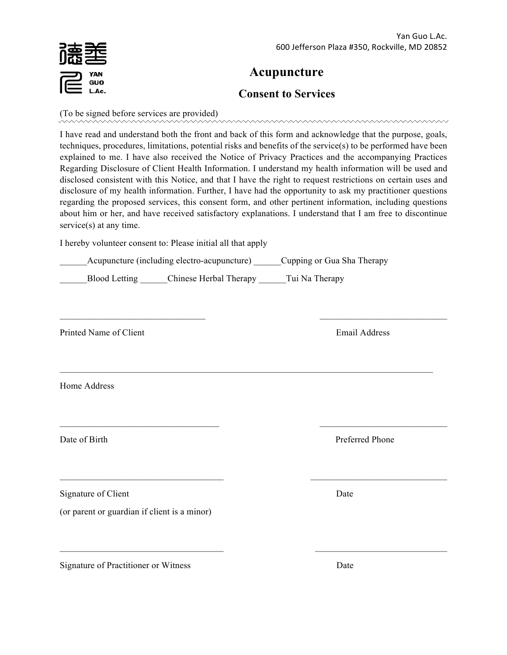# **Acupuncture**

## **Consent to Services**

(To be signed before services are provided)

I have read and understand both the front and back of this form and acknowledge that the purpose, goals, techniques, procedures, limitations, potential risks and benefits of the service(s) to be performed have been explained to me. I have also received the Notice of Privacy Practices and the accompanying Practices Regarding Disclosure of Client Health Information. I understand my health information will be used and disclosed consistent with this Notice, and that I have the right to request restrictions on certain uses and disclosure of my health information. Further, I have had the opportunity to ask my practitioner questions regarding the proposed services, this consent form, and other pertinent information, including questions about him or her, and have received satisfactory explanations. I understand that I am free to discontinue service(s) at any time.

 $\mathcal{L}_\text{max} = \frac{1}{2} \sum_{i=1}^n \mathcal{L}_\text{max} \left[ \mathcal{L}_\text{max} \left( \mathcal{L}_\text{max} \right) - \mathcal{L}_\text{max} \left( \mathcal{L}_\text{max} \right) \right]$ 

 $\mathcal{L}_\text{max} = \mathcal{L}_\text{max} = \mathcal{L}_\text{max} = \mathcal{L}_\text{max} = \mathcal{L}_\text{max} = \mathcal{L}_\text{max} = \mathcal{L}_\text{max} = \mathcal{L}_\text{max} = \mathcal{L}_\text{max} = \mathcal{L}_\text{max} = \mathcal{L}_\text{max} = \mathcal{L}_\text{max} = \mathcal{L}_\text{max} = \mathcal{L}_\text{max} = \mathcal{L}_\text{max} = \mathcal{L}_\text{max} = \mathcal{L}_\text{max} = \mathcal{L}_\text{max} = \mathcal{$ 

 $\mathcal{L}_\text{max} = \mathcal{L}_\text{max} = \mathcal{L}_\text{max} = \mathcal{L}_\text{max} = \mathcal{L}_\text{max} = \mathcal{L}_\text{max} = \mathcal{L}_\text{max} = \mathcal{L}_\text{max} = \mathcal{L}_\text{max} = \mathcal{L}_\text{max} = \mathcal{L}_\text{max} = \mathcal{L}_\text{max} = \mathcal{L}_\text{max} = \mathcal{L}_\text{max} = \mathcal{L}_\text{max} = \mathcal{L}_\text{max} = \mathcal{L}_\text{max} = \mathcal{L}_\text{max} = \mathcal{$ 

 $\mathcal{L}_\text{max} = \mathcal{L}_\text{max} = \mathcal{L}_\text{max} = \mathcal{L}_\text{max} = \mathcal{L}_\text{max} = \mathcal{L}_\text{max} = \mathcal{L}_\text{max} = \mathcal{L}_\text{max} = \mathcal{L}_\text{max} = \mathcal{L}_\text{max} = \mathcal{L}_\text{max} = \mathcal{L}_\text{max} = \mathcal{L}_\text{max} = \mathcal{L}_\text{max} = \mathcal{L}_\text{max} = \mathcal{L}_\text{max} = \mathcal{L}_\text{max} = \mathcal{L}_\text{max} = \mathcal{$ 

 $\mathcal{L}_\text{max} = \mathcal{L}_\text{max} = \mathcal{L}_\text{max} = \mathcal{L}_\text{max} = \mathcal{L}_\text{max} = \mathcal{L}_\text{max} = \mathcal{L}_\text{max} = \mathcal{L}_\text{max} = \mathcal{L}_\text{max} = \mathcal{L}_\text{max} = \mathcal{L}_\text{max} = \mathcal{L}_\text{max} = \mathcal{L}_\text{max} = \mathcal{L}_\text{max} = \mathcal{L}_\text{max} = \mathcal{L}_\text{max} = \mathcal{L}_\text{max} = \mathcal{L}_\text{max} = \mathcal{$ 

I hereby volunteer consent to: Please initial all that apply

Acupuncture (including electro-acupuncture) Cupping or Gua Sha Therapy

Blood Letting Chinese Herbal Therapy Tui Na Therapy

Printed Name of Client **Email Address** 

Home Address

Signature of Client Date

(or parent or guardian if client is a minor)

Signature of Practitioner or Witness Date

Date of Birth Preferred Phone

GUO L.Ac.